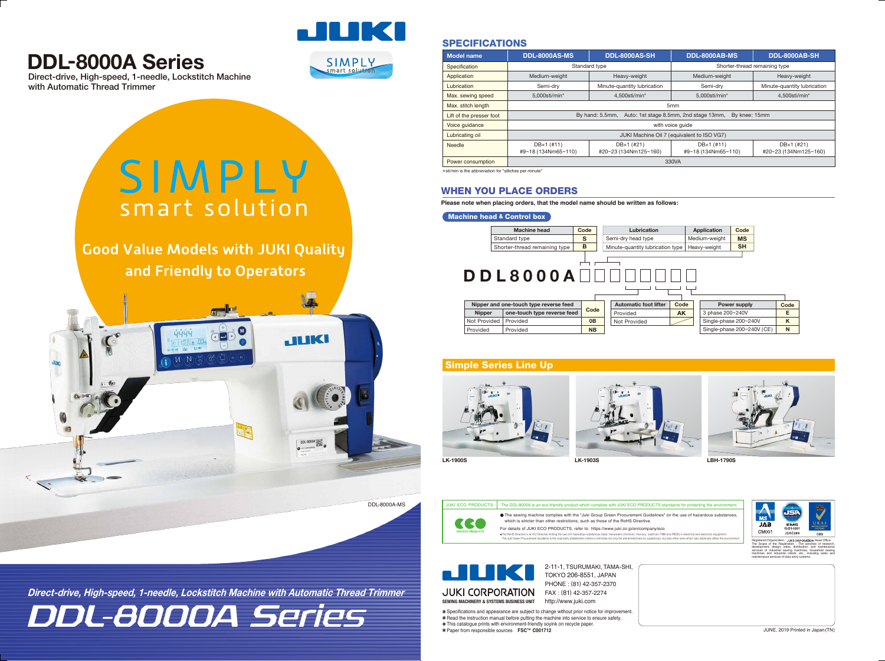### SPECIFICATIONS

| <b>Model name</b>        | <b>DDL-8000AS-MS</b>                                                       | <b>DDL-8000AS-SH</b>        | <b>DDL-8000AB-MS</b>          | DDL-8000AB-SH               |  |
|--------------------------|----------------------------------------------------------------------------|-----------------------------|-------------------------------|-----------------------------|--|
| Specification            | Standard type                                                              |                             | Shorter-thread remaining type |                             |  |
| Application              | Medium-weight                                                              | Heavy-weight                | Medium-weight                 | Heavy-weight                |  |
| Lubrication              | Semi-drv                                                                   | Minute-quantity lubrication | Semi-drv                      | Minute-quantity lubrication |  |
| Max. sewing speed        | 5.000sti/min*                                                              | 4.500sti/min*               | 5.000sti/min*                 | 4.500sti/min*               |  |
| Max. stitch length       | 5mm                                                                        |                             |                               |                             |  |
| Lift of the presser foot | By hand: 5.5mm,<br>Auto: 1st stage 8.5mm, 2nd stage 13mm,<br>By knee: 15mm |                             |                               |                             |  |
| Voice quidance           | with voice quide                                                           |                             |                               |                             |  |
| Lubricating oil          | JUKI Machine Oil 7 (equivalent to ISO VG7)                                 |                             |                               |                             |  |
| <b>Needle</b>            | DB×1 (#11)                                                                 | DB×1 (#21)                  | DB×1 (#11)                    | DB×1 (#21)                  |  |
|                          | #9~18 (134Nm65~110)                                                        | #20~23 (134Nm125~160)       | #9~18 (134Nm65~110)           | #20~23 (134Nm125~160)       |  |
| Power consumption        | 330VA                                                                      |                             |                               |                             |  |

\* sti/min is the abbreviation for "stitches per minute"

## **DDL-8000A Series**



| <b>Application</b> | Code      |
|--------------------|-----------|
| Medium-weight      | MS        |
| Heavy-weight       | <b>SH</b> |
|                    |           |



DDL-8000A Series **Direct-drive, High-speed, 1-needle, Lockstitch Machine with Automatic Thread Trimmer**

Direct-drive, High-speed, 1-needle, Lockstitch Machine with Automatic Thread Trimmer





# SIMPLY smart solution

**Good Value Models with JUKI Quality** and Friendly to Operators

### WHEN YOU PLACE ORDERS

**Please note when placing orders, that the model name should be written as follows:**

#### Machine head & Control box





maintenance services of data entry systems.



2-11-1, TSURUMAKI, TAMA-SHI, TOKYO 206-8551, JAPAN PHONE : (81) 42-357-2370 FAX : (81) 42-357-2274 http://www.juki.com

Specifications and appearance are subject to change without prior notice for improvement. Read the instruction manual before putting the machine into service to ensure safety. This catalogue prints with environment-friendly soyink on recycle paper. Paper from responsible sources **FSC**™ **C001712**

| Power supply               | Code |
|----------------------------|------|
| 3 phase 200~240V           | F    |
| Single-phase 200~240V      | ĸ    |
| Single-phase 200~240V (CE) | N    |







### Simple Series Line Up